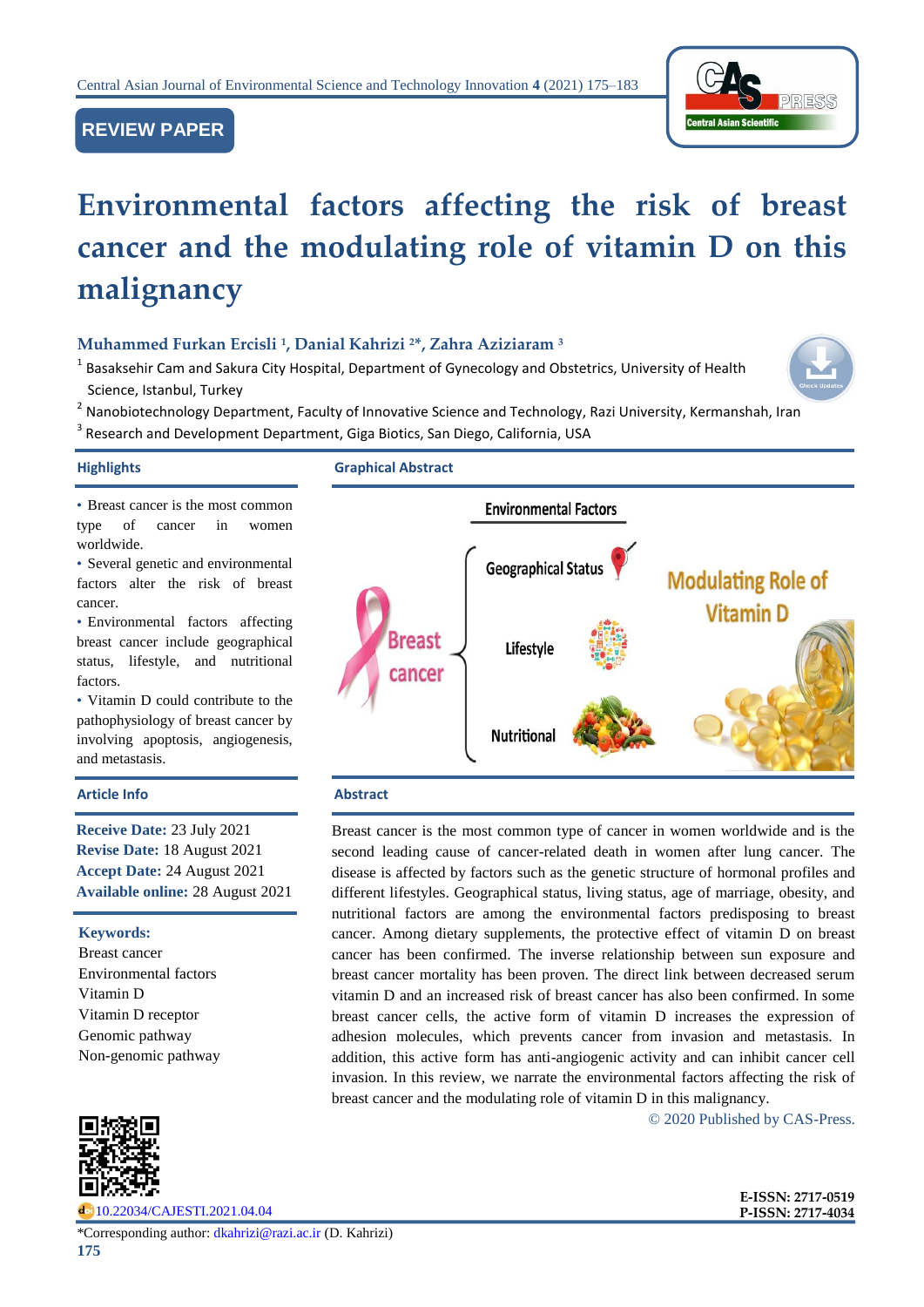

# **REVIEW PAPER**

# **Environmental factors affecting the risk of breast cancer and the modulating role of vitamin D on this malignancy**

# **Muhammed Furkan Ercisli <sup>1</sup> , Danial Kahrizi <sup>2</sup>\*, Zahra Aziziaram <sup>3</sup>**

 $^1$  Basaksehir Cam and Sakura City Hospital, Department of Gynecology and Obstetrics, University of Health Science, Istanbul, Turkey



<sup>2</sup> Nanobiotechnology Department, Faculty of Innovative Science and Technology, Razi University, Kermanshah, Iran

<sup>3</sup> Research and Development Department, Giga Biotics, San Diego, California, USA

### **Highlights Graphical Abstract**

• Breast cancer is the most common type of cancer in women worldwide.

• Several genetic and environmental factors alter the risk of breast cancer.

• Environmental factors affecting breast cancer include geographical status, lifestyle, and nutritional factors.

• Vitamin D could contribute to the pathophysiology of breast cancer by involving apoptosis, angiogenesis, and metastasis.

### **Article Info Abstract**

**Receive Date:** 23 July 2021 **Revise Date:** 18 August 2021 **Accept Date:** 24 August 2021 **Available online:** 28 August 2021

**Keywords:** 

Breast cancer Environmental factors Vitamin D Vitamin D receptor Genomic pathway Non-genomic pathway



[10.22034/CAJESTI.2021.04.04](https://www.cas-press.com/article_139008.html)



Breast cancer is the most common type of cancer in women worldwide and is the second leading cause of cancer-related death in women after lung cancer. The disease is affected by factors such as the genetic structure of hormonal profiles and different lifestyles. Geographical status, living status, age of marriage, obesity, and nutritional factors are among the environmental factors predisposing to breast cancer. Among dietary supplements, the protective effect of vitamin D on breast cancer has been confirmed. The inverse relationship between sun exposure and breast cancer mortality has been proven. The direct link between decreased serum vitamin D and an increased risk of breast cancer has also been confirmed. In some breast cancer cells, the active form of vitamin D increases the expression of adhesion molecules, which prevents cancer from invasion and metastasis. In addition, this active form has anti-angiogenic activity and can inhibit cancer cell invasion. In this review, we narrate the environmental factors affecting the risk of breast cancer and the modulating role of vitamin D in this malignancy.

© 2020 Published by CAS-Press.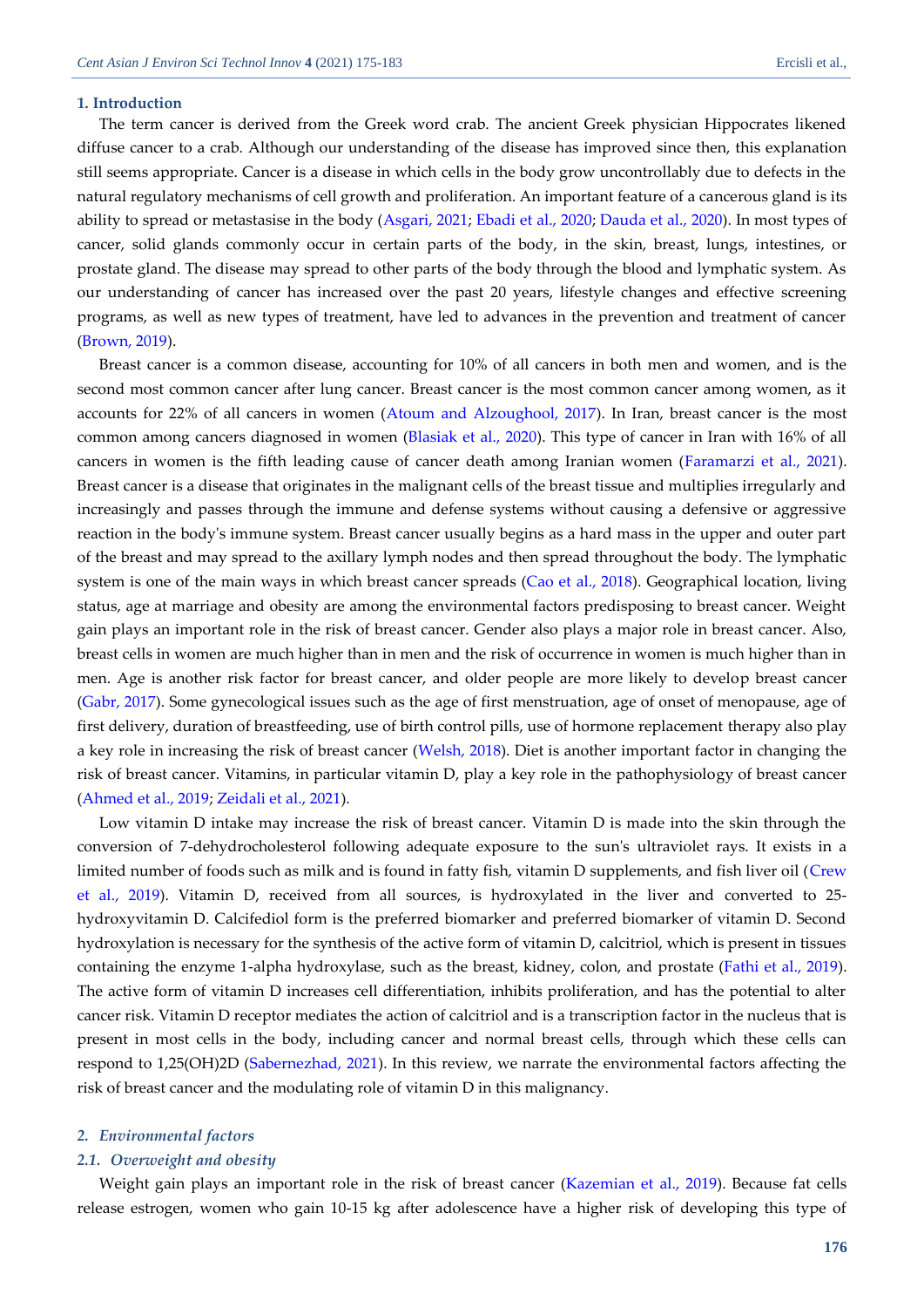#### **1. Introduction**

The term cancer is derived from the Greek word crab. The ancient Greek physician Hippocrates likened diffuse cancer to a crab. Although our understanding of the disease has improved since then, this explanation still seems appropriate. Cancer is a disease in which cells in the body grow uncontrollably due to defects in the natural regulatory mechanisms of cell growth and proliferation. An important feature of a cancerous gland is its ability to spread or metastasise in the body [\(Asgari, 2021;](#page-7-0) [Ebadi et al., 2020;](#page-7-1) [Dauda et al., 2020\)](#page-7-2). In most types of cancer, solid glands commonly occur in certain parts of the body, in the skin, breast, lungs, intestines, or prostate gland. The disease may spread to other parts of the body through the blood and lymphatic system. As our understanding of cancer has increased over the past 20 years, lifestyle changes and effective screening programs, as well as new types of treatment, have led to advances in the prevention and treatment of cancer [\(Brown, 2019\)](#page-7-3).

Breast cancer is a common disease, accounting for 10% of all cancers in both men and women, and is the second most common cancer after lung cancer. Breast cancer is the most common cancer among women, as it accounts for 22% of all cancers in women [\(Atoum and Alzoughool, 2017\)](#page-7-4). In Iran, breast cancer is the most common among cancers diagnosed in women [\(Blasiak et al., 2020\)](#page-7-5). This type of cancer in Iran with 16% of all cancers in women is the fifth leading cause of cancer death among Iranian women [\(Faramarzi et al., 2021\)](#page-7-6). Breast cancer is a disease that originates in the malignant cells of the breast tissue and multiplies irregularly and increasingly and passes through the immune and defense systems without causing a defensive or aggressive reaction in the body's immune system. Breast cancer usually begins as a hard mass in the upper and outer part of the breast and may spread to the axillary lymph nodes and then spread throughout the body. The lymphatic system is one of the main ways in which breast cancer spreads [\(Cao et al., 2018\)](#page-7-7). Geographical location, living status, age at marriage and obesity are among the environmental factors predisposing to breast cancer. Weight gain plays an important role in the risk of breast cancer. Gender also plays a major role in breast cancer. Also, breast cells in women are much higher than in men and the risk of occurrence in women is much higher than in men. Age is another risk factor for breast cancer, and older people are more likely to develop breast cancer [\(Gabr, 2017\)](#page-8-0). Some gynecological issues such as the age of first menstruation, age of onset of menopause, age of first delivery, duration of breastfeeding, use of birth control pills, use of hormone replacement therapy also play a key role in increasing the risk of breast cancer [\(Welsh, 2018\)](#page-8-1). Diet is another important factor in changing the risk of breast cancer. Vitamins, in particular vitamin D, play a key role in the pathophysiology of breast cancer [\(Ahmed et al., 2019;](#page-7-8) Zeidali [et al., 2021\)](#page-8-2).

Low vitamin D intake may increase the risk of breast cancer. Vitamin D is made into the skin through the conversion of 7-dehydrocholesterol following adequate exposure to the sun's ultraviolet rays. It exists in a limited number of foods such as milk and is found in fatty fish, vitamin D supplements, and fish liver oil [\(Crew](#page-7-9)  [et al., 2019\)](#page-7-9). Vitamin D, received from all sources, is hydroxylated in the liver and converted to 25 hydroxyvitamin D. Calcifediol form is the preferred biomarker and preferred biomarker of vitamin D. Second hydroxylation is necessary for the synthesis of the active form of vitamin D, calcitriol, which is present in tissues containing the enzyme 1-alpha hydroxylase, such as the breast, kidney, colon, and prostate [\(Fathi et al., 2019\)](#page-7-10). The active form of vitamin D increases cell differentiation, inhibits proliferation, and has the potential to alter cancer risk. Vitamin D receptor mediates the action of calcitriol and is a transcription factor in the nucleus that is present in most cells in the body, including cancer and normal breast cells, through which these cells can respond to 1,25(OH)2D [\(Sabernezhad, 2021\)](#page-8-3). In this review, we narrate the environmental factors affecting the risk of breast cancer and the modulating role of vitamin D in this malignancy.

#### *2. Environmental factors*

#### *2.1. Overweight and obesity*

Weight gain plays an important role in the risk of breast cancer [\(Kazemian et al., 2019\)](#page-8-4). Because fat cells release estrogen, women who gain 10-15 kg after adolescence have a higher risk of developing this type of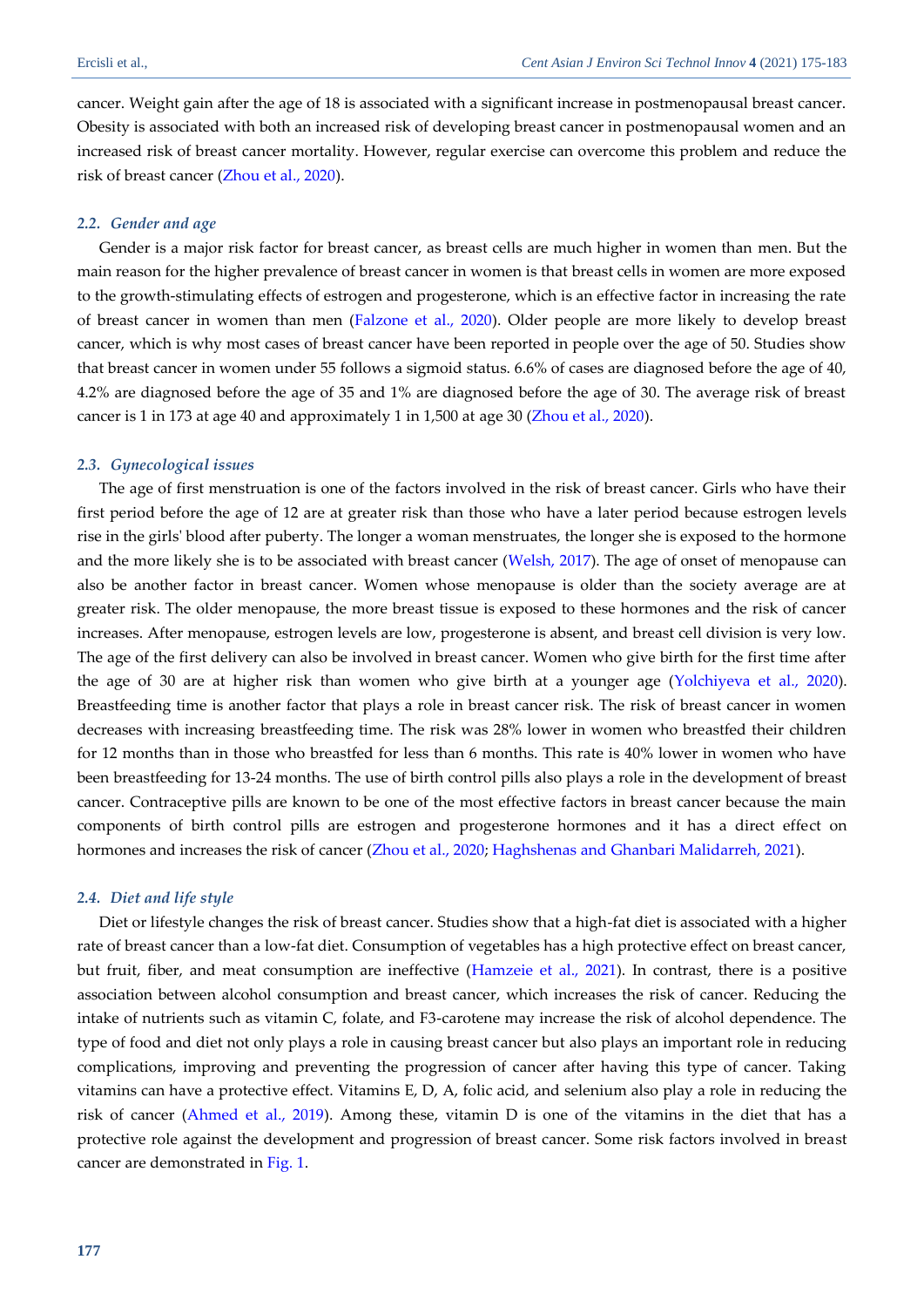cancer. Weight gain after the age of 18 is associated with a significant increase in postmenopausal breast cancer. Obesity is associated with both an increased risk of developing breast cancer in postmenopausal women and an increased risk of breast cancer mortality. However, regular exercise can overcome this problem and reduce the risk of breast cancer [\(Zhou et al., 2020\)](#page-8-5).

#### *2.2. Gender and age*

Gender is a major risk factor for breast cancer, as breast cells are much higher in women than men. But the main reason for the higher prevalence of breast cancer in women is that breast cells in women are more exposed to the growth-stimulating effects of estrogen and progesterone, which is an effective factor in increasing the rate of breast cancer in women than men [\(Falzone et al., 2020\)](#page-7-11). Older people are more likely to develop breast cancer, which is why most cases of breast cancer have been reported in people over the age of 50. Studies show that breast cancer in women under 55 follows a sigmoid status. 6.6% of cases are diagnosed before the age of 40, 4.2% are diagnosed before the age of 35 and 1% are diagnosed before the age of 30. The average risk of breast cancer is 1 in 173 at age 40 and approximately 1 in 1,500 at age 30 [\(Zhou et al., 2020\)](#page-8-5).

#### *2.3. Gynecological issues*

The age of first menstruation is one of the factors involved in the risk of breast cancer. Girls who have their first period before the age of 12 are at greater risk than those who have a later period because estrogen levels rise in the girls' blood after puberty. The longer a woman menstruates, the longer she is exposed to the hormone and the more likely she is to be associated with breast cancer [\(Welsh,](#page-8-6) 2017). The age of onset of menopause can also be another factor in breast cancer. Women whose menopause is older than the society average are at greater risk. The older menopause, the more breast tissue is exposed to these hormones and the risk of cancer increases. After menopause, estrogen levels are low, progesterone is absent, and breast cell division is very low. The age of the first delivery can also be involved in breast cancer. Women who give birth for the first time after the age of 30 are at higher risk than women who give birth at a younger age [\(Yolchiyeva et al., 2020\)](#page-8-7). Breastfeeding time is another factor that plays a role in breast cancer risk. The risk of breast cancer in women decreases with increasing breastfeeding time. The risk was 28% lower in women who breastfed their children for 12 months than in those who breastfed for less than 6 months. This rate is 40% lower in women who have been breastfeeding for 13-24 months. The use of birth control pills also plays a role in the development of breast cancer. Contraceptive pills are known to be one of the most effective factors in breast cancer because the main components of birth control pills are estrogen and progesterone hormones and it has a direct effect on hormones and increases the risk of cancer [\(Zhou et al., 2020;](#page-8-5) Haghshenas and [Ghanbari Malidarreh, 2021\)](#page-8-8).

#### *2.4. Diet and life style*

Diet or lifestyle changes the risk of breast cancer. Studies show that a high-fat diet is associated with a higher rate of breast cancer than a low-fat diet. Consumption of vegetables has a high protective effect on breast cancer, but fruit, fiber, and meat consumption are ineffective [\(Hamzeie et al., 2021\)](#page-8-8). In contrast, there is a positive association between alcohol consumption and breast cancer, which increases the risk of cancer. Reducing the intake of nutrients such as vitamin C, folate, and F3-carotene may increase the risk of alcohol dependence. The type of food and diet not only plays a role in causing breast cancer but also plays an important role in reducing complications, improving and preventing the progression of cancer after having this type of cancer. Taking vitamins can have a protective effect. Vitamins E, D, A, folic acid, and selenium also play a role in reducing the risk of cancer [\(Ahmed et al., 2019\)](#page-7-8). Among these, vitamin D is one of the vitamins in the diet that has a protective role against the development and progression of breast cancer. Some risk factors involved in breast cancer are demonstrated in [Fig. 1.](#page-3-0)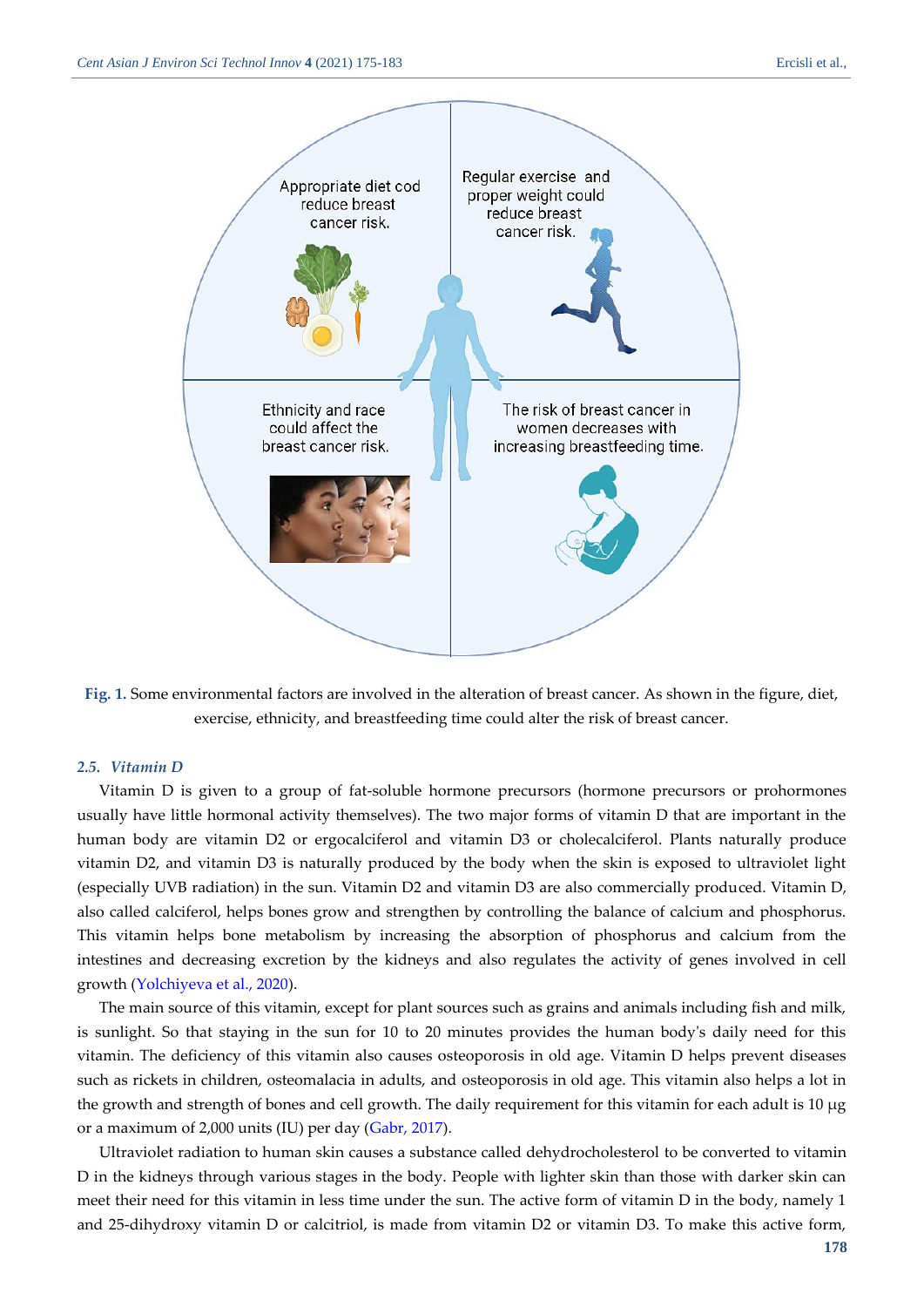

<span id="page-3-0"></span>**Fig. 1.** Some environmental factors are involved in the alteration of breast cancer. As shown in the figure, diet, exercise, ethnicity, and breastfeeding time could alter the risk of breast cancer.

#### *2.5. Vitamin D*

Vitamin D is given to a group of fat-soluble hormone precursors (hormone precursors or prohormones usually have little hormonal activity themselves). The two major forms of vitamin D that are important in the human body are vitamin D2 or ergocalciferol and vitamin D3 or cholecalciferol. Plants naturally produce vitamin D2, and vitamin D3 is naturally produced by the body when the skin is exposed to ultraviolet light (especially UVB radiation) in the sun. Vitamin D2 and vitamin D3 are also commercially produced. Vitamin D, also called calciferol, helps bones grow and strengthen by controlling the balance of calcium and phosphorus. This vitamin helps bone metabolism by increasing the absorption of phosphorus and calcium from the intestines and decreasing excretion by the kidneys and also regulates the activity of genes involved in cell growth [\(Yolchiyeva et al., 2020\)](#page-8-7).

The main source of this vitamin, except for plant sources such as grains and animals including fish and milk, is sunlight. So that staying in the sun for 10 to 20 minutes provides the human body's daily need for this vitamin. The deficiency of this vitamin also causes osteoporosis in old age. Vitamin D helps prevent diseases such as rickets in children, osteomalacia in adults, and osteoporosis in old age. This vitamin also helps a lot in the growth and strength of bones and cell growth. The daily requirement for this vitamin for each adult is 10 µg or a maximum of 2,000 units (IU) per day [\(Gabr, 2017\)](#page-8-0).

Ultraviolet radiation to human skin causes a substance called dehydrocholesterol to be converted to vitamin D in the kidneys through various stages in the body. People with lighter skin than those with darker skin can meet their need for this vitamin in less time under the sun. The active form of vitamin D in the body, namely 1 and 25-dihydroxy vitamin D or calcitriol, is made from vitamin D2 or vitamin D3. To make this active form,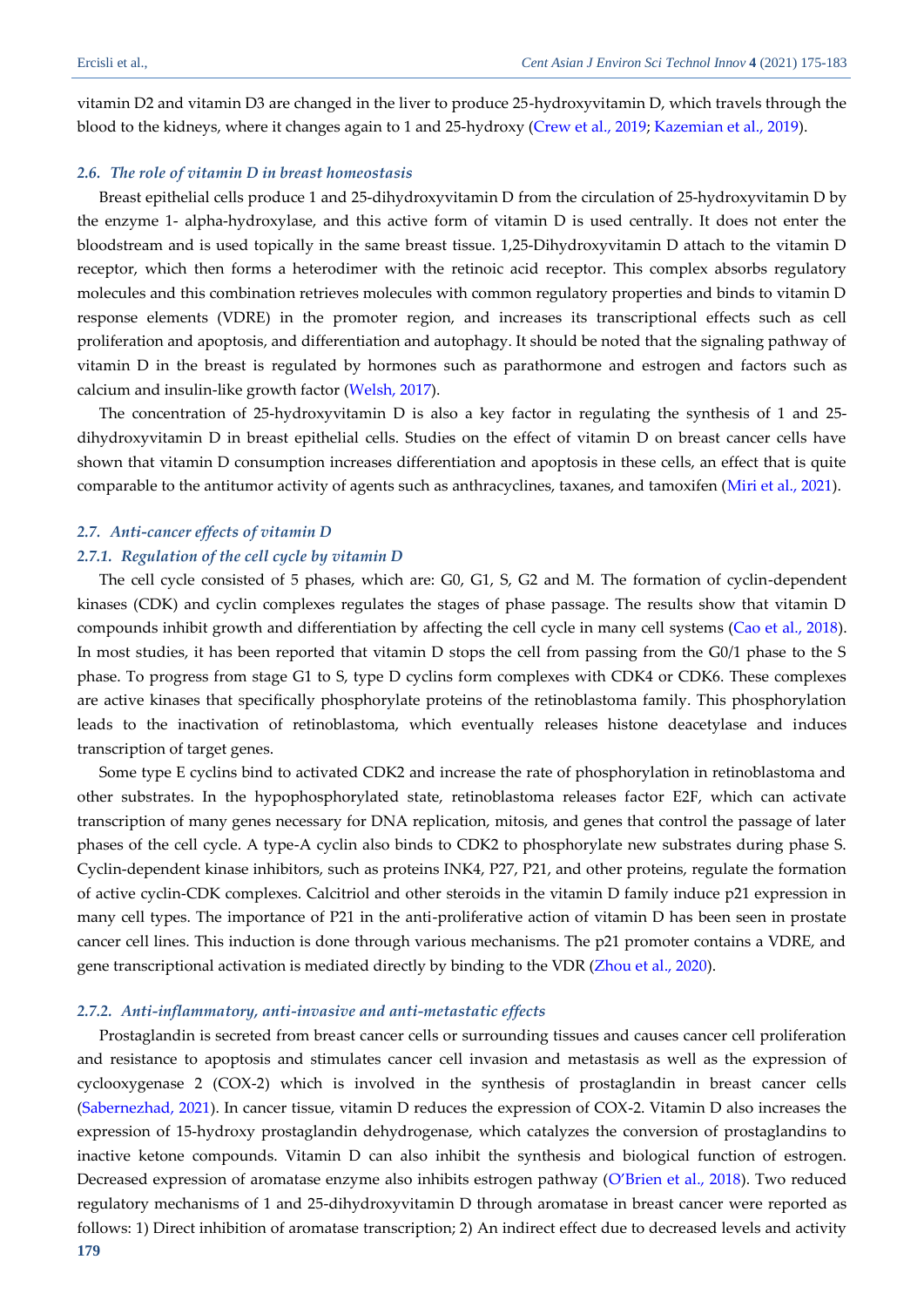vitamin D2 and vitamin D3 are changed in the liver to produce 25-hydroxyvitamin D, which travels through the blood to the kidneys, where it changes again to 1 and 25-hydroxy [\(Crew et al., 2019;](#page-7-9) [Kazemian et al., 2019\)](#page-8-4).

#### *2.6. The role of vitamin D in breast homeostasis*

Breast epithelial cells produce 1 and 25-dihydroxyvitamin D from the circulation of 25-hydroxyvitamin D by the enzyme 1- alpha-hydroxylase, and this active form of vitamin D is used centrally. It does not enter the bloodstream and is used topically in the same breast tissue. 1,25-Dihydroxyvitamin D attach to the vitamin D receptor, which then forms a heterodimer with the retinoic acid receptor. This complex absorbs regulatory molecules and this combination retrieves molecules with common regulatory properties and binds to vitamin D response elements (VDRE) in the promoter region, and increases its transcriptional effects such as cell proliferation and apoptosis, and differentiation and autophagy. It should be noted that the signaling pathway of vitamin D in the breast is regulated by hormones such as parathormone and estrogen and factors such as calcium and insulin-like growth factor [\(Welsh, 2017\)](#page-8-6).

The concentration of 25-hydroxyvitamin D is also a key factor in regulating the synthesis of 1 and 25 dihydroxyvitamin D in breast epithelial cells. Studies on the effect of vitamin D on breast cancer cells have shown that vitamin D consumption increases differentiation and apoptosis in these cells, an effect that is quite comparable to the antitumor activity of agents such as anthracyclines, taxanes, and tamoxifen [\(Miri et al., 2021\)](#page-8-9).

## *2.7. Anti-cancer effects of vitamin D 2.7.1. Regulation of the cell cycle by vitamin D*

The cell cycle consisted of 5 phases, which are: G0, G1, S, G2 and M. The formation of cyclin-dependent kinases (CDK) and cyclin complexes regulates the stages of phase passage. The results show that vitamin D compounds inhibit growth and differentiation by affecting the cell cycle in many cell systems [\(Cao et al., 2018\)](#page-7-7). In most studies, it has been reported that vitamin D stops the cell from passing from the G0/1 phase to the S phase. To progress from stage G1 to S, type D cyclins form complexes with CDK4 or CDK6. These complexes are active kinases that specifically phosphorylate proteins of the retinoblastoma family. This phosphorylation leads to the inactivation of retinoblastoma, which eventually releases histone deacetylase and induces transcription of target genes.

Some type E cyclins bind to activated CDK2 and increase the rate of phosphorylation in retinoblastoma and other substrates. In the hypophosphorylated state, retinoblastoma releases factor E2F, which can activate transcription of many genes necessary for DNA replication, mitosis, and genes that control the passage of later phases of the cell cycle. A type-A cyclin also binds to CDK2 to phosphorylate new substrates during phase S. Cyclin-dependent kinase inhibitors, such as proteins INK4, P27, P21, and other proteins, regulate the formation of active cyclin-CDK complexes. Calcitriol and other steroids in the vitamin D family induce p21 expression in many cell types. The importance of P21 in the anti-proliferative action of vitamin D has been seen in prostate cancer cell lines. This induction is done through various mechanisms. The p21 promoter contains a VDRE, and gene transcriptional activation is mediated directly by binding to the VDR [\(Zhou et al., 2020\)](#page-8-5).

#### *2.7.2. Anti-inflammatory, anti-invasive and anti-metastatic effects*

**179** Prostaglandin is secreted from breast cancer cells or surrounding tissues and causes cancer cell proliferation and resistance to apoptosis and stimulates cancer cell invasion and metastasis as well as the expression of cyclooxygenase 2 (COX-2) which is involved in the synthesis of prostaglandin in breast cancer cells [\(Sabernezhad, 2021\)](#page-8-3). In cancer tissue, vitamin D reduces the expression of COX-2. Vitamin D also increases the expression of 15-hydroxy prostaglandin dehydrogenase, which catalyzes the conversion of prostaglandins to inactive ketone compounds. Vitamin D can also inhibit the synthesis and biological function of estrogen. Decreased expression of aromatase enzyme also inhibits estrogen pathway ([O'Brien et al., 2018](#page-8-10)). Two reduced regulatory mechanisms of 1 and 25-dihydroxyvitamin D through aromatase in breast cancer were reported as follows: 1) Direct inhibition of aromatase transcription; 2) An indirect effect due to decreased levels and activity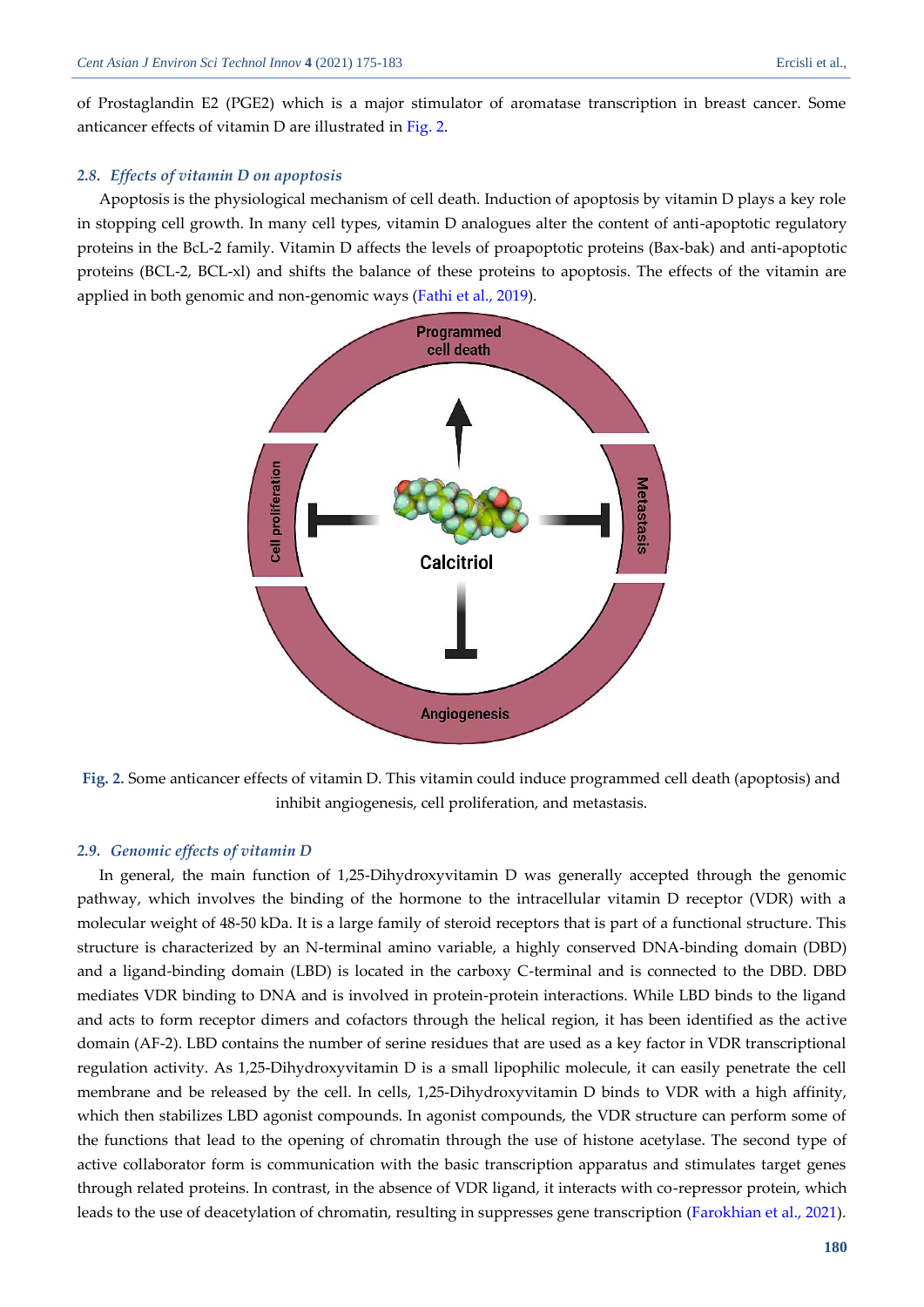of Prostaglandin E2 (PGE2) which is a major stimulator of aromatase transcription in breast cancer. Some anticancer effects of vitamin D are illustrated in [Fig.](#page-5-0) 2.

### *2.8. Effects of vitamin D on apoptosis*

Apoptosis is the physiological mechanism of cell death. Induction of apoptosis by vitamin D plays a key role in stopping cell growth. In many cell types, vitamin D analogues alter the content of anti-apoptotic regulatory proteins in the BcL-2 family. Vitamin D affects the levels of proapoptotic proteins (Bax-bak) and anti-apoptotic proteins (BCL-2, BCL-xl) and shifts the balance of these proteins to apoptosis. The effects of the vitamin are applied in both genomic and non-genomic ways [\(Fathi et al., 2019\)](#page-7-10).



<span id="page-5-0"></span>**Fig. 2.** Some anticancer effects of vitamin D. This vitamin could induce programmed cell death (apoptosis) and inhibit angiogenesis, cell proliferation, and metastasis.

#### *2.9. Genomic effects of vitamin D*

In general, the main function of 1,25-Dihydroxyvitamin D was generally accepted through the genomic pathway, which involves the binding of the hormone to the intracellular vitamin D receptor (VDR) with a molecular weight of 48-50 kDa. It is a large family of steroid receptors that is part of a functional structure. This structure is characterized by an N-terminal amino variable, a highly conserved DNA-binding domain (DBD) and a ligand-binding domain (LBD) is located in the carboxy C-terminal and is connected to the DBD. DBD mediates VDR binding to DNA and is involved in protein-protein interactions. While LBD binds to the ligand and acts to form receptor dimers and cofactors through the helical region, it has been identified as the active domain (AF-2). LBD contains the number of serine residues that are used as a key factor in VDR transcriptional regulation activity. As 1,25-Dihydroxyvitamin D is a small lipophilic molecule, it can easily penetrate the cell membrane and be released by the cell. In cells, 1,25-Dihydroxyvitamin D binds to VDR with a high affinity, which then stabilizes LBD agonist compounds. In agonist compounds, the VDR structure can perform some of the functions that lead to the opening of chromatin through the use of histone acetylase. The second type of active collaborator form is communication with the basic transcription apparatus and stimulates target genes through related proteins. In contrast, in the absence of VDR ligand, it interacts with co-repressor protein, which leads to the use of deacetylation of chromatin, resulting in suppresses gene transcription (Farokhian [et al., 2021\)](#page-7-12).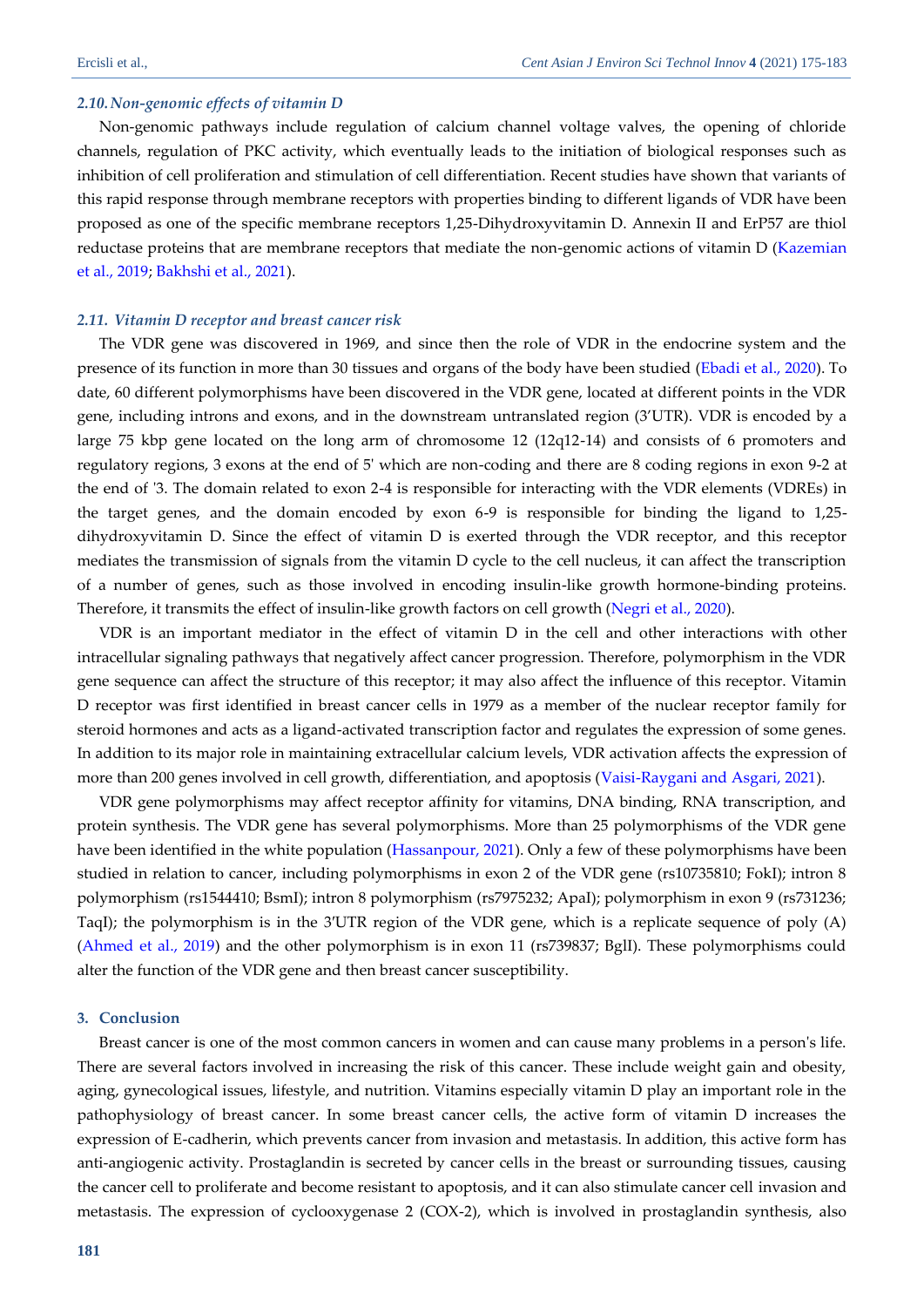#### *2.10.Non-genomic effects of vitamin D*

Non-genomic pathways include regulation of calcium channel voltage valves, the opening of chloride channels, regulation of PKC activity, which eventually leads to the initiation of biological responses such as inhibition of cell proliferation and stimulation of cell differentiation. Recent studies have shown that variants of this rapid response through membrane receptors with properties binding to different ligands of VDR have been proposed as one of the specific membrane receptors 1,25-Dihydroxyvitamin D. Annexin II and ErP57 are thiol reductase proteins that are membrane receptors that mediate the non-genomic actions of vitamin D [\(Kazemian](#page-8-4)  [et al., 2019;](#page-8-4) Bakhshi [et al., 2021\)](#page-7-5).

#### *2.11. Vitamin D receptor and breast cancer risk*

The VDR gene was discovered in 1969, and since then the role of VDR in the endocrine system and the presence of its function in more than 30 tissues and organs of the body have been studied [\(Ebadi et al., 2020\)](#page-7-1). To date, 60 different polymorphisms have been discovered in the VDR gene, located at different points in the VDR gene, including introns and exons, and in the downstream untranslated region (3'UTR). VDR is encoded by a large 75 kbp gene located on the long arm of chromosome 12 (12q12-14) and consists of 6 promoters and regulatory regions, 3 exons at the end of 5' which are non-coding and there are 8 coding regions in exon 9-2 at the end of '3. The domain related to exon 2-4 is responsible for interacting with the VDR elements (VDREs) in the target genes, and the domain encoded by exon 6-9 is responsible for binding the ligand to 1,25 dihydroxyvitamin D. Since the effect of vitamin D is exerted through the VDR receptor, and this receptor mediates the transmission of signals from the vitamin D cycle to the cell nucleus, it can affect the transcription of a number of genes, such as those involved in encoding insulin-like growth hormone-binding proteins. Therefore, it transmits the effect of insulin-like growth factors on cell growth [\(Negri et al., 2020\)](#page-8-11).

VDR is an important mediator in the effect of vitamin D in the cell and other interactions with other intracellular signaling pathways that negatively affect cancer progression. Therefore, polymorphism in the VDR gene sequence can affect the structure of this receptor; it may also affect the influence of this receptor. Vitamin D receptor was first identified in breast cancer cells in 1979 as a member of the nuclear receptor family for steroid hormones and acts as a ligand-activated transcription factor and regulates the expression of some genes. In addition to its major role in maintaining extracellular calcium levels, VDR activation affects the expression of more than 200 genes involved in cell growth, differentiation, and apoptosis [\(Vaisi-Raygani and Asgari, 2021\)](#page-8-12).

VDR gene polymorphisms may affect receptor affinity for vitamins, DNA binding, RNA transcription, and protein synthesis. The VDR gene has several polymorphisms. More than 25 polymorphisms of the VDR gene have been identified in the white population [\(Hassanpour, 2021\)](#page-8-13). Only a few of these polymorphisms have been studied in relation to cancer, including polymorphisms in exon 2 of the VDR gene (rs10735810; FokI); intron 8 polymorphism (rs1544410; BsmI); intron 8 polymorphism (rs7975232; ApaI); polymorphism in exon 9 (rs731236; TaqI); the polymorphism is in the 3′UTR region of the VDR gene, which is a replicate sequence of poly (A) [\(Ahmed et al., 2019\)](#page-7-8) and the other polymorphism is in exon 11 (rs739837; BglI). These polymorphisms could alter the function of the VDR gene and then breast cancer susceptibility.

#### **3. Conclusion**

Breast cancer is one of the most common cancers in women and can cause many problems in a person's life. There are several factors involved in increasing the risk of this cancer. These include weight gain and obesity, aging, gynecological issues, lifestyle, and nutrition. Vitamins especially vitamin D play an important role in the pathophysiology of breast cancer. In some breast cancer cells, the active form of vitamin D increases the expression of E-cadherin, which prevents cancer from invasion and metastasis. In addition, this active form has anti-angiogenic activity. Prostaglandin is secreted by cancer cells in the breast or surrounding tissues, causing the cancer cell to proliferate and become resistant to apoptosis, and it can also stimulate cancer cell invasion and metastasis. The expression of cyclooxygenase 2 (COX-2), which is involved in prostaglandin synthesis, also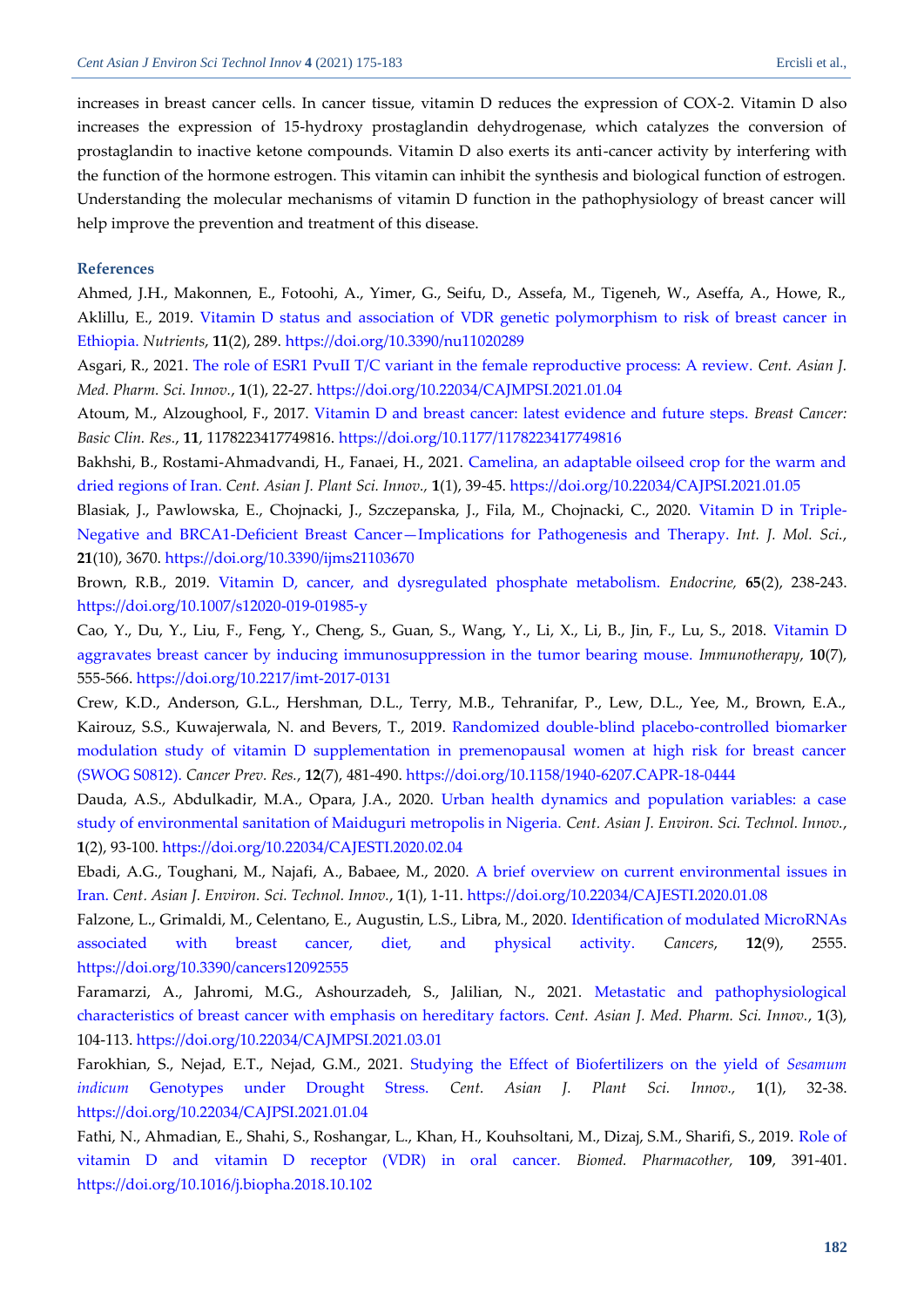increases in breast cancer cells. In cancer tissue, vitamin D reduces the expression of COX-2. Vitamin D also increases the expression of 15-hydroxy prostaglandin dehydrogenase, which catalyzes the conversion of prostaglandin to inactive ketone compounds. Vitamin D also exerts its anti-cancer activity by interfering with the function of the hormone estrogen. This vitamin can inhibit the synthesis and biological function of estrogen. Understanding the molecular mechanisms of vitamin D function in the pathophysiology of breast cancer will help improve the prevention and treatment of this disease.

#### **References**

<span id="page-7-8"></span>Ahmed, J.H., Makonnen, E., Fotoohi, A., Yimer, G., Seifu, D., Assefa, M., Tigeneh, W., Aseffa, A., Howe, R., Aklillu, E., 2019. [Vitamin D status and association of VDR genetic polymorphism to risk of breast cancer in](https://www.mdpi.com/2072-6643/11/2/289/pdf)  [Ethiopia.](https://www.mdpi.com/2072-6643/11/2/289/pdf) *Nutrients*, **11**(2), 289.<https://doi.org/10.3390/nu11020289>

<span id="page-7-0"></span>Asgari, R., 2021. [The role of ESR1 PvuII T/C variant in the female reproductive process: A review.](https://www.cajmpsi.com/article_126765_ac1b5be50e9328fed4f9d33163e9b1e8.pdf) *Cent. Asian J. Med. Pharm. Sci. Innov.*, **1**(1), 22-27.<https://doi.org/10.22034/CAJMPSI.2021.01.04>

<span id="page-7-4"></span>Atoum, M., Alzoughool, F., 2017. [Vitamin D and breast cancer: latest evidence and future steps.](https://journals.sagepub.com/doi/pdf/10.1177/1178223417749816) *Breast Cancer: Basic Clin. Res.*, **11**, 1178223417749816. [https://doi.org/10.1177/1178223417749816](https://doi.org/10.1177%2F1178223417749816)

<span id="page-7-5"></span>Bakhshi, B., Rostami-Ahmadvandi, H., Fanaei, H., 2021. [Camelina, an adaptable oilseed crop for the warm and](http://www.cajpsi.com/article_128592_48fa3a94c715de90ae69b584e4fda270.pdf)  [dried regions of Iran.](http://www.cajpsi.com/article_128592_48fa3a94c715de90ae69b584e4fda270.pdf) *Cent. Asian J. Plant Sci. Innov.,* **1**(1), 39-45. <https://doi.org/10.22034/CAJPSI.2021.01.05>

Blasiak, J., Pawlowska, E., Chojnacki, J., Szczepanska, J., Fila, M., Chojnacki, C., 2020. [Vitamin D in Triple-](https://www.mdpi.com/1422-0067/21/10/3670/pdf)[Negative and BRCA1-Deficient Breast Cancer](https://www.mdpi.com/1422-0067/21/10/3670/pdf)—Implications for Pathogenesis and Therapy. *Int. J. Mol. Sci.*, **21**(10), 3670.<https://doi.org/10.3390/ijms21103670>

<span id="page-7-3"></span>Brown, R.B., 2019. [Vitamin D, cancer, and dysregulated phosphate metabolism.](https://link.springer.com/content/pdf/10.1007/s12020-019-01985-y.pdf) *Endocrine,* **65**(2), 238-243. <https://doi.org/10.1007/s12020-019-01985-y>

<span id="page-7-7"></span>Cao, Y., Du, Y., Liu, F., Feng, Y., Cheng, S., Guan, S., Wang, Y., Li, X., Li, B., Jin, F., Lu, S., 2018. [Vitamin D](https://freepaper.me/n/VE2Wup52krL29HaFD4ofPg/PDF/e7/e7711e3abf966005847323e1afc18563.pdf)  [aggravates breast cancer by inducing immunosuppression in the tumor bearing mouse.](https://freepaper.me/n/VE2Wup52krL29HaFD4ofPg/PDF/e7/e7711e3abf966005847323e1afc18563.pdf) *Immunotherapy*, **10**(7), 555-566.<https://doi.org/10.2217/imt-2017-0131>

<span id="page-7-9"></span>Crew, K.D., Anderson, G.L., Hershman, D.L., Terry, M.B., Tehranifar, P., Lew, D.L., Yee, M., Brown, E.A., Kairouz, S.S., Kuwajerwala, N. and Bevers, T., 2019. [Randomized double-blind placebo-controlled biomarker](https://cancerpreventionresearch.aacrjournals.org/content/canprevres/12/7/481.full.pdf)  [modulation study of vitamin D supplementation in premenopausal women at high risk for breast cancer](https://cancerpreventionresearch.aacrjournals.org/content/canprevres/12/7/481.full.pdf) [\(SWOG S0812\).](https://cancerpreventionresearch.aacrjournals.org/content/canprevres/12/7/481.full.pdf) *Cancer Prev. Res.*, **12**(7), 481-490[. https://doi.org/10.1158/1940-6207.CAPR-18-0444](https://doi.org/10.1158/1940-6207.CAPR-18-0444)

<span id="page-7-2"></span>Dauda, A.S., Abdulkadir, M.A., Opara, J.A., 2020. [Urban health dynamics and population variables: a case](http://www.cas-press.com/article_102585_90fec4ee932b1e340b7737e07c170f75.pdf)  [study of environmental sanitation of Maiduguri metropolis in Nigeria.](http://www.cas-press.com/article_102585_90fec4ee932b1e340b7737e07c170f75.pdf) *Cent*. *Asian J. Environ. Sci. Technol. Innov.*, **1**(2), 93-100[. https://doi.org/10.22034/CAJESTI.2020.02.04](https://doi.org/10.22034/CAJESTI.2020.02.04)

<span id="page-7-1"></span>Ebadi, A.G., Toughani, M., Najafi, A., Babaee, M., 2020. [A brief overview on current environmental issues in](http://www.cas-press.com/article_103703_792218b54d6eac47ab4e227716fbfc38.pdf)  [Iran.](http://www.cas-press.com/article_103703_792218b54d6eac47ab4e227716fbfc38.pdf) *Cent*. *Asian J. Environ. Sci. Technol. Innov.*, **1**(1), 1-11.<https://doi.org/10.22034/CAJESTI.2020.01.08>

<span id="page-7-11"></span>Falzone, L., Grimaldi, M., Celentano, E., Augustin, L.S., Libra, M., 2020. [Identification of modulated MicroRNAs](https://www.mdpi.com/2072-6694/12/9/2555/pdf)  [associated with breast cancer, diet, and physical activity.](https://www.mdpi.com/2072-6694/12/9/2555/pdf) *Cancers*, **12**(9), 2555. <https://doi.org/10.3390/cancers12092555>

<span id="page-7-6"></span>Faramarzi, A., Jahromi, M.G., Ashourzadeh, S., Jalilian, N., 2021. [Metastatic and pathophysiological](https://www.cajmpsi.com/article_131715_3a202dc3616690eea14db4905ccd97df.pdf)  [characteristics of breast cancer with emphasis on hereditary factors.](https://www.cajmpsi.com/article_131715_3a202dc3616690eea14db4905ccd97df.pdf) *Cent. Asian J. Med. Pharm. Sci. Innov.*, **1**(3), 104-113.<https://doi.org/10.22034/CAJMPSI.2021.03.01>

<span id="page-7-12"></span><span id="page-7-10"></span>Farokhian, S., Nejad, E.T., Nejad, G.M., 2021. [Studying the Effect of Biofertilizers on the yield of](http://www.cajpsi.com/article_128593_eb3a38d6d2958ee94325320bfe93e79e.pdf) *Sesamum indicum* [Genotypes under Drought Stress.](http://www.cajpsi.com/article_128593_eb3a38d6d2958ee94325320bfe93e79e.pdf) *Cent. Asian J. Plant Sci. Innov.,* **1**(1), 32-38. <https://doi.org/10.22034/CAJPSI.2021.01.04>

Fathi, N., Ahmadian, E., Shahi, S., Roshangar, L., Khan, H., Kouhsoltani, M., Dizaj, S.M., Sharifi, S., 2019. [Role of](https://srv2.freepaper.me/n/E9xInDZamzJ_H-k_M0skCw/PDF/95/95142e93f700006942bb33bfc84b0f53.pdf)  [vitamin D and vitamin D receptor \(VDR\) in oral cancer.](https://srv2.freepaper.me/n/E9xInDZamzJ_H-k_M0skCw/PDF/95/95142e93f700006942bb33bfc84b0f53.pdf) *Biomed. Pharmacother,* **109**, 391-401. <https://doi.org/10.1016/j.biopha.2018.10.102>